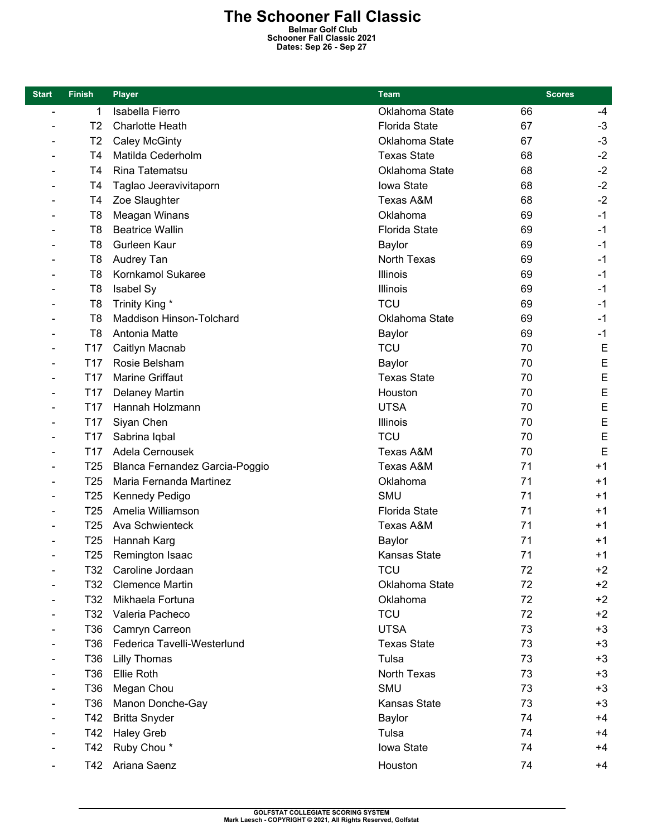## **The Schooner Fall Classic Belmar Golf Club**

**Schooner Fall Classic 2021 Dates: Sep 26 - Sep 27** 

| <b>Start</b>                 | <b>Finish</b>   | <b>Player</b>                  | Team                 | <b>Scores</b> |      |
|------------------------------|-----------------|--------------------------------|----------------------|---------------|------|
| $\qquad \qquad \blacksquare$ | 1               | Isabella Fierro                | Oklahoma State       | 66            | -4   |
| $\qquad \qquad \blacksquare$ | T <sub>2</sub>  | Charlotte Heath                | <b>Florida State</b> | 67            | $-3$ |
|                              | T <sub>2</sub>  | <b>Caley McGinty</b>           | Oklahoma State       | 67            | $-3$ |
|                              | T4              | Matilda Cederholm              | <b>Texas State</b>   | 68            | $-2$ |
|                              | T <sub>4</sub>  | Rina Tatematsu                 | Oklahoma State       | 68            | $-2$ |
|                              | T4              | Taglao Jeeravivitaporn         | Iowa State           | 68            | $-2$ |
|                              | T4              | Zoe Slaughter                  | <b>Texas A&amp;M</b> | 68            | $-2$ |
|                              | T <sub>8</sub>  | Meagan Winans                  | Oklahoma             | 69            | $-1$ |
|                              | T <sub>8</sub>  | <b>Beatrice Wallin</b>         | <b>Florida State</b> | 69            | $-1$ |
|                              | T8              | Gurleen Kaur                   | Baylor               | 69            | $-1$ |
|                              | T <sub>8</sub>  | Audrey Tan                     | North Texas          | 69            | $-1$ |
|                              | T <sub>8</sub>  | Kornkamol Sukaree              | Illinois             | 69            | $-1$ |
|                              | T <sub>8</sub>  | Isabel Sy                      | <b>Illinois</b>      | 69            | $-1$ |
|                              | T <sub>8</sub>  | Trinity King *                 | <b>TCU</b>           | 69            | $-1$ |
|                              | T <sub>8</sub>  | Maddison Hinson-Tolchard       | Oklahoma State       | 69            | -1   |
|                              | T8              | Antonia Matte                  | <b>Baylor</b>        | 69            | $-1$ |
|                              | T17             | Caitlyn Macnab                 | <b>TCU</b>           | 70            | E    |
|                              | T <sub>17</sub> | Rosie Belsham                  | Baylor               | 70            | E    |
|                              | T <sub>17</sub> | Marine Griffaut                | <b>Texas State</b>   | 70            | E    |
| $\qquad \qquad \blacksquare$ | T <sub>17</sub> | <b>Delaney Martin</b>          | Houston              | 70            | E    |
|                              | T <sub>17</sub> | Hannah Holzmann                | <b>UTSA</b>          | 70            | E    |
|                              | T <sub>17</sub> | Siyan Chen                     | <b>Illinois</b>      | 70            | E    |
|                              | T17             | Sabrina Iqbal                  | <b>TCU</b>           | 70            | E    |
|                              | T <sub>17</sub> | Adela Cernousek                | Texas A&M            | 70            | E    |
| $\overline{\phantom{0}}$     | T <sub>25</sub> | Blanca Fernandez Garcia-Poggio | <b>Texas A&amp;M</b> | 71            | $+1$ |
|                              | T <sub>25</sub> | Maria Fernanda Martinez        | Oklahoma             | 71            | $+1$ |
|                              | T <sub>25</sub> | Kennedy Pedigo                 | <b>SMU</b>           | 71            | $+1$ |
|                              | T <sub>25</sub> | Amelia Williamson              | <b>Florida State</b> | 71            | $+1$ |
|                              | T <sub>25</sub> | Ava Schwienteck                | Texas A&M            | 71            | $+1$ |
|                              | T <sub>25</sub> | Hannah Karg                    | <b>Baylor</b>        | 71            | $+1$ |
| $\blacksquare$               | T <sub>25</sub> | Remington Isaac                | <b>Kansas State</b>  | 71            | $+1$ |
| $\qquad \qquad \blacksquare$ | T32             | Caroline Jordaan               | <b>TCU</b>           | 72            | $+2$ |
|                              | T32             | <b>Clemence Martin</b>         | Oklahoma State       | 72            | $+2$ |
|                              | T32             | Mikhaela Fortuna               | Oklahoma             | 72            | $+2$ |
|                              | T32             | Valeria Pacheco                | <b>TCU</b>           | 72            | $+2$ |
|                              | T36             | Camryn Carreon                 | <b>UTSA</b>          | 73            | $+3$ |
|                              | T36             | Federica Tavelli-Westerlund    | <b>Texas State</b>   | 73            | $+3$ |
|                              | T36             | <b>Lilly Thomas</b>            | Tulsa                | 73            | $+3$ |
|                              | T36             | Ellie Roth                     | North Texas          | 73            | $+3$ |
|                              | T36             | Megan Chou                     | <b>SMU</b>           | 73            | $+3$ |
|                              | T36             | Manon Donche-Gay               | <b>Kansas State</b>  | 73            | $+3$ |
|                              | T42             | <b>Britta Snyder</b>           | <b>Baylor</b>        | 74            | $+4$ |
|                              | T42             | <b>Haley Greb</b>              | Tulsa                | 74            | $+4$ |
|                              | T42             | Ruby Chou*                     | Iowa State           | 74            | +4   |
|                              | T42             | Ariana Saenz                   | Houston              | 74            | +4   |